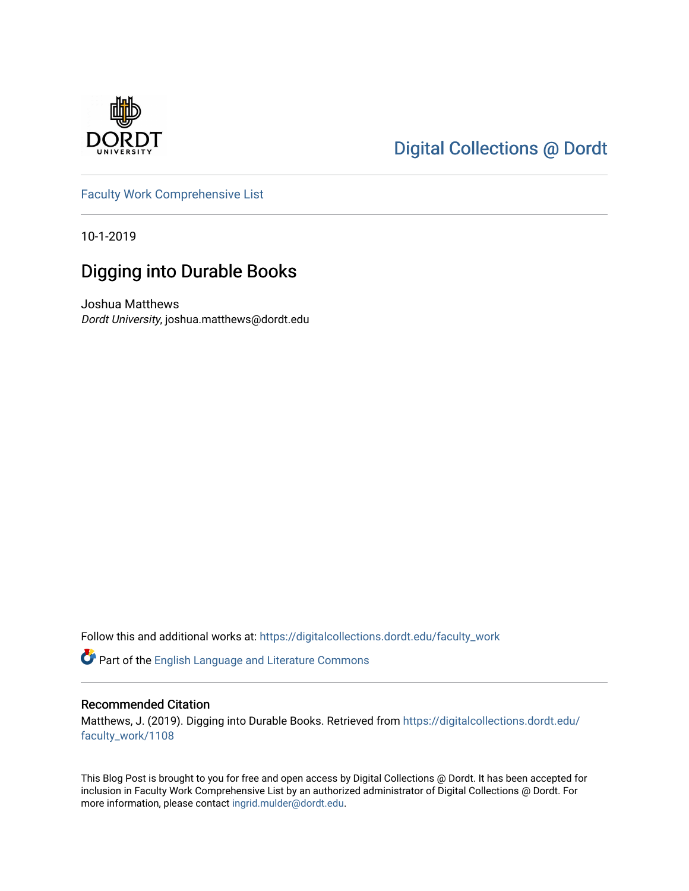

## [Digital Collections @ Dordt](https://digitalcollections.dordt.edu/)

[Faculty Work Comprehensive List](https://digitalcollections.dordt.edu/faculty_work)

10-1-2019

# Digging into Durable Books

Joshua Matthews Dordt University, joshua.matthews@dordt.edu

Follow this and additional works at: [https://digitalcollections.dordt.edu/faculty\\_work](https://digitalcollections.dordt.edu/faculty_work?utm_source=digitalcollections.dordt.edu%2Ffaculty_work%2F1108&utm_medium=PDF&utm_campaign=PDFCoverPages) 

Part of the [English Language and Literature Commons](http://network.bepress.com/hgg/discipline/455?utm_source=digitalcollections.dordt.edu%2Ffaculty_work%2F1108&utm_medium=PDF&utm_campaign=PDFCoverPages)

#### Recommended Citation

Matthews, J. (2019). Digging into Durable Books. Retrieved from [https://digitalcollections.dordt.edu/](https://digitalcollections.dordt.edu/faculty_work/1108?utm_source=digitalcollections.dordt.edu%2Ffaculty_work%2F1108&utm_medium=PDF&utm_campaign=PDFCoverPages) [faculty\\_work/1108](https://digitalcollections.dordt.edu/faculty_work/1108?utm_source=digitalcollections.dordt.edu%2Ffaculty_work%2F1108&utm_medium=PDF&utm_campaign=PDFCoverPages) 

This Blog Post is brought to you for free and open access by Digital Collections @ Dordt. It has been accepted for inclusion in Faculty Work Comprehensive List by an authorized administrator of Digital Collections @ Dordt. For more information, please contact [ingrid.mulder@dordt.edu.](mailto:ingrid.mulder@dordt.edu)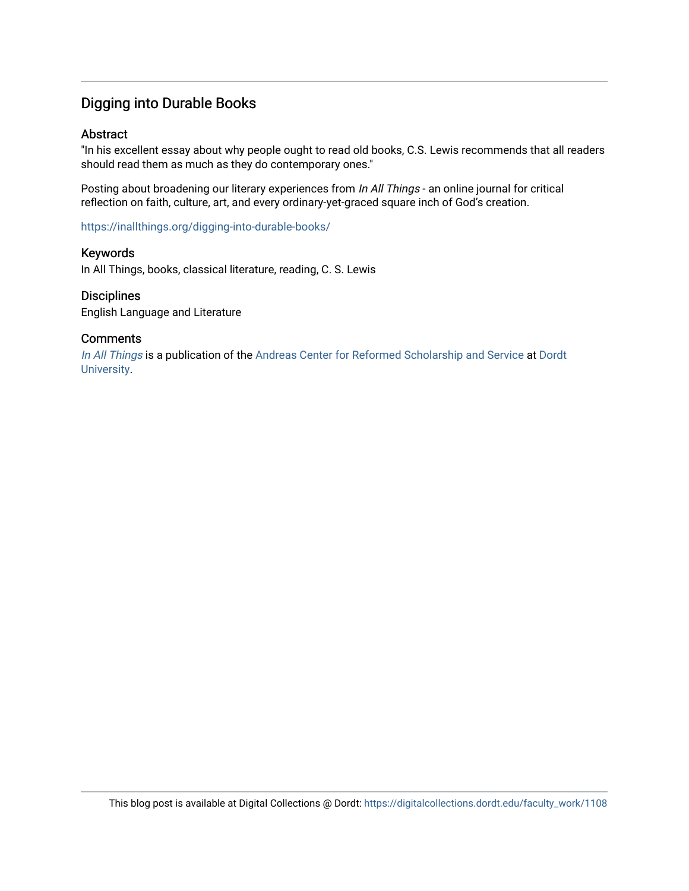### Digging into Durable Books

#### Abstract

"In his excellent essay about why people ought to read old books, C.S. Lewis recommends that all readers should read them as much as they do contemporary ones."

Posting about broadening our literary experiences from In All Things - an online journal for critical reflection on faith, culture, art, and every ordinary-yet-graced square inch of God's creation.

<https://inallthings.org/digging-into-durable-books/>

#### Keywords

In All Things, books, classical literature, reading, C. S. Lewis

#### **Disciplines**

English Language and Literature

#### **Comments**

[In All Things](http://inallthings.org/) is a publication of the [Andreas Center for Reformed Scholarship and Service](http://www.dordt.edu/services_support/andreas_center/) at Dordt [University](http://www.dordt.edu/).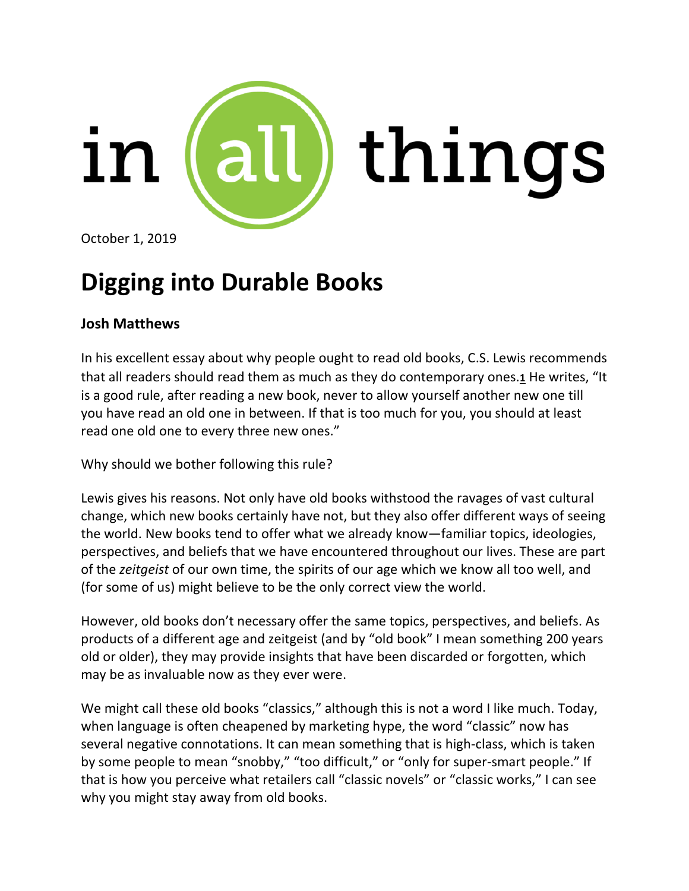

October 1, 2019

# **Digging into Durable Books**

## **Josh Matthews**

In his excellent essay about why people ought to read old books, C.S. Lewis recommends that all readers should read them as much as they do contemporary ones.**[1](https://inallthings.org/digging-into-durable-books/#fn1-17277)** He writes, "It is a good rule, after reading a new book, never to allow yourself another new one till you have read an old one in between. If that is too much for you, you should at least read one old one to every three new ones."

Why should we bother following this rule?

Lewis gives his reasons. Not only have old books withstood the ravages of vast cultural change, which new books certainly have not, but they also offer different ways of seeing the world. New books tend to offer what we already know—familiar topics, ideologies, perspectives, and beliefs that we have encountered throughout our lives. These are part of the *zeitgeist* of our own time, the spirits of our age which we know all too well, and (for some of us) might believe to be the only correct view the world.

However, old books don't necessary offer the same topics, perspectives, and beliefs. As products of a different age and zeitgeist (and by "old book" I mean something 200 years old or older), they may provide insights that have been discarded or forgotten, which may be as invaluable now as they ever were.

We might call these old books "classics," although this is not a word I like much. Today, when language is often cheapened by marketing hype, the word "classic" now has several negative connotations. It can mean something that is high-class, which is taken by some people to mean "snobby," "too difficult," or "only for super-smart people." If that is how you perceive what retailers call "classic novels" or "classic works," I can see why you might stay away from old books.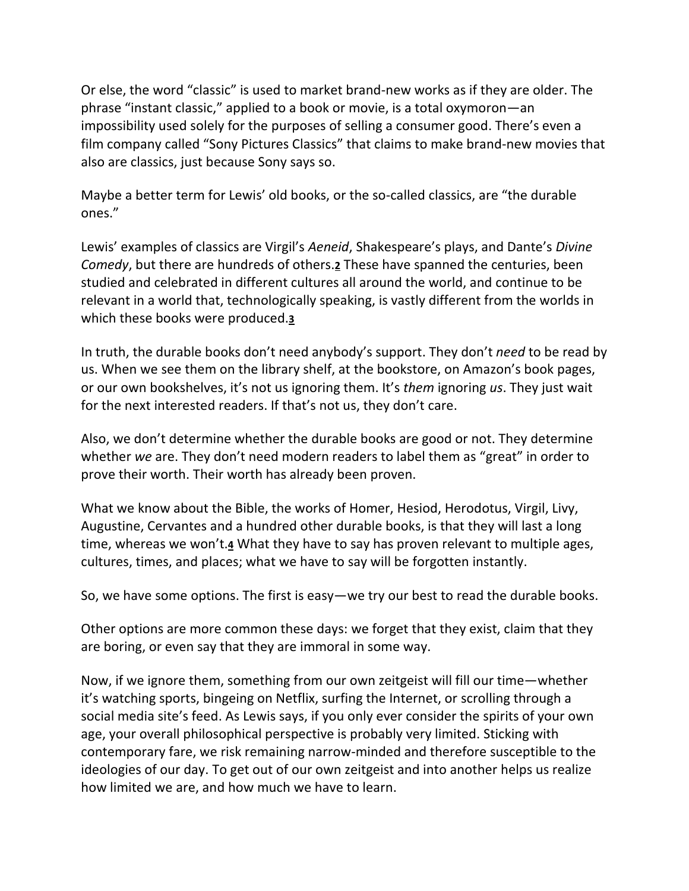Or else, the word "classic" is used to market brand-new works as if they are older. The phrase "instant classic," applied to a book or movie, is a total oxymoron—an impossibility used solely for the purposes of selling a consumer good. There's even a film company called "Sony Pictures Classics" that claims to make brand-new movies that also are classics, just because Sony says so.

Maybe a better term for Lewis' old books, or the so-called classics, are "the durable ones."

Lewis' examples of classics are Virgil's *Aeneid*, Shakespeare's plays, and Dante's *Divine Comedy*, but there are hundreds of others.**[2](https://inallthings.org/digging-into-durable-books/#fn2-17277)** These have spanned the centuries, been studied and celebrated in different cultures all around the world, and continue to be relevant in a world that, technologically speaking, is vastly different from the worlds in which these books were produced.**[3](https://inallthings.org/digging-into-durable-books/#fn3-17277)**

In truth, the durable books don't need anybody's support. They don't *need* to be read by us. When we see them on the library shelf, at the bookstore, on Amazon's book pages, or our own bookshelves, it's not us ignoring them. It's *them* ignoring *us*. They just wait for the next interested readers. If that's not us, they don't care.

Also, we don't determine whether the durable books are good or not. They determine whether *we* are. They don't need modern readers to label them as "great" in order to prove their worth. Their worth has already been proven.

What we know about the Bible, the works of Homer, Hesiod, Herodotus, Virgil, Livy, Augustine, Cervantes and a hundred other durable books, is that they will last a long time, whereas we won't.**[4](https://inallthings.org/digging-into-durable-books/#fn4-17277)** What they have to say has proven relevant to multiple ages, cultures, times, and places; what we have to say will be forgotten instantly.

So, we have some options. The first is easy—we try our best to read the durable books.

Other options are more common these days: we forget that they exist, claim that they are boring, or even say that they are immoral in some way.

Now, if we ignore them, something from our own zeitgeist will fill our time—whether it's watching sports, bingeing on Netflix, surfing the Internet, or scrolling through a social media site's feed. As Lewis says, if you only ever consider the spirits of your own age, your overall philosophical perspective is probably very limited. Sticking with contemporary fare, we risk remaining narrow-minded and therefore susceptible to the ideologies of our day. To get out of our own zeitgeist and into another helps us realize how limited we are, and how much we have to learn.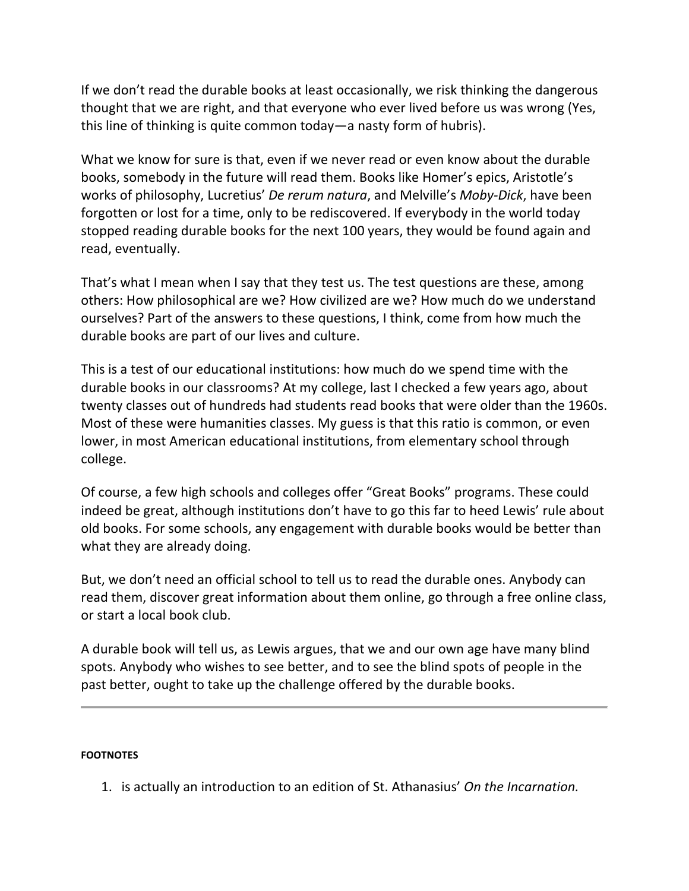If we don't read the durable books at least occasionally, we risk thinking the dangerous thought that we are right, and that everyone who ever lived before us was wrong (Yes, this line of thinking is quite common today—a nasty form of hubris).

What we know for sure is that, even if we never read or even know about the durable books, somebody in the future will read them. Books like Homer's epics, Aristotle's works of philosophy, Lucretius' *De rerum natura*, and Melville's *Moby-Dick*, have been forgotten or lost for a time, only to be rediscovered. If everybody in the world today stopped reading durable books for the next 100 years, they would be found again and read, eventually.

That's what I mean when I say that they test us. The test questions are these, among others: How philosophical are we? How civilized are we? How much do we understand ourselves? Part of the answers to these questions, I think, come from how much the durable books are part of our lives and culture.

This is a test of our educational institutions: how much do we spend time with the durable books in our classrooms? At my college, last I checked a few years ago, about twenty classes out of hundreds had students read books that were older than the 1960s. Most of these were humanities classes. My guess is that this ratio is common, or even lower, in most American educational institutions, from elementary school through college.

Of course, a few high schools and colleges offer "Great Books" programs. These could indeed be great, although institutions don't have to go this far to heed Lewis' rule about old books. For some schools, any engagement with durable books would be better than what they are already doing.

But, we don't need an official school to tell us to read the durable ones. Anybody can read them, discover great information about them online, go through a free online class, or start a local book club.

A durable book will tell us, as Lewis argues, that we and our own age have many blind spots. Anybody who wishes to see better, and to see the blind spots of people in the past better, ought to take up the challenge offered by the durable books.

#### **FOOTNOTES**

1. is actually an introduction to an edition of St. Athanasius' *On the Incarnation.*